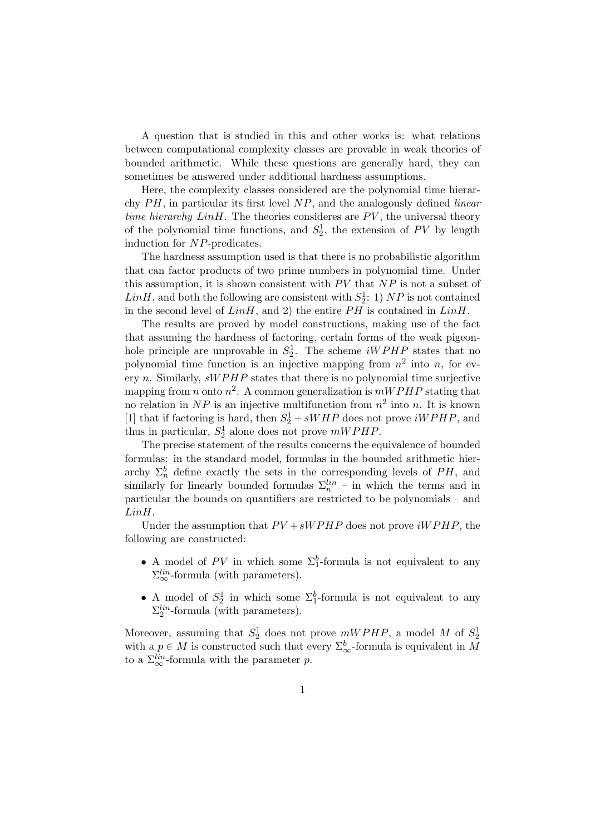A question that is studied in this and other works is: what relations between computational complexity classes are provable in weak theories of bounded arithmetic. While these questions are generally hard, they can sometimes be answered under additional hardness assumptions.

Here, the complexity classes considered are the polynomial time hierarchy  $PH$ , in particular its first level  $NP$ , and the analogously defined *linear* time hierarchy  $LinH$ . The theories consideres are  $PV$ , the universal theory of the polynomial time functions, and  $S_2^1$ , the extension of PV by length induction for NP-predicates.

The hardness assumption used is that there is no probabilistic algorithm that can factor products of two prime numbers in polynomial time. Under this assumption, it is shown consistent with  $PV$  that  $NP$  is not a subset of  $LinH$ , and both the following are consistent with  $S_2^1$ : 1) NP is not contained in the second level of  $LinH$ , and 2) the entire  $PH$  is contained in  $LinH$ .

The results are proved by model constructions, making use of the fact that assuming the hardness of factoring, certain forms of the weak pigeonhole principle are unprovable in  $S_2^1$ . The scheme *iWPHP* states that no polynomial time function is an injective mapping from  $n^2$  into n, for every n. Similarly,  $\text{sWPHP}$  states that there is no polynomial time surjective mapping from *n* onto  $n^2$ . A common generalization is  $mWPHP$  stating that no relation in  $NP$  is an injective multifunction from  $n^2$  into n. It is known [1] that if factoring is hard, then  $S_2^1 + sWHP$  does not prove  $iWPHP$ , and thus in particular,  $S_2^1$  alone does not prove  $mWPHP$ .

The precise statement of the results concerns the equivalence of bounded formulas: in the standard model, formulas in the bounded arithmetic hierarchy  $\Sigma_n^b$  define exactly the sets in the corresponding levels of PH, and similarly for linearly bounded formulas  $\Sigma_n^{lin}$  – in which the terms and in particular the bounds on quantifiers are restricted to be polynomials – and LinH.

Under the assumption that  $PV + sWPHP$  does not prove  $iWPHP$ , the following are constructed:

- A model of PV in which some  $\Sigma_1^b$ -formula is not equivalent to any  $\Sigma^{lin}_{\infty}$ -formula (with parameters).
- A model of  $S_2^1$  in which some  $\Sigma_1^b$ -formula is not equivalent to any  $\Sigma_2^{lin}$ -formula (with parameters).

Moreover, assuming that  $S_2^1$  does not prove  $mWPHP$ , a model M of  $S_2^1$ with a  $p \in M$  is constructed such that every  $\Sigma^b_{\infty}$ -formula is equivalent in M to a  $\Sigma^{lin}_{\infty}$ -formula with the parameter p.